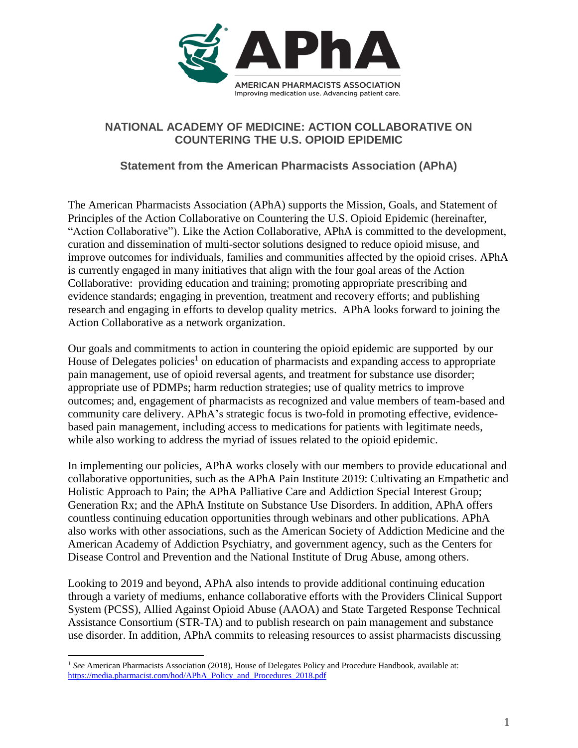

## **NATIONAL ACADEMY OF MEDICINE: ACTION COLLABORATIVE ON COUNTERING THE U.S. OPIOID EPIDEMIC**

## **Statement from the American Pharmacists Association (APhA)**

The American Pharmacists Association (APhA) supports the Mission, Goals, and Statement of Principles of the Action Collaborative on Countering the U.S. Opioid Epidemic (hereinafter, "Action Collaborative"). Like the Action Collaborative, APhA is committed to the development, curation and dissemination of multi-sector solutions designed to reduce opioid misuse, and improve outcomes for individuals, families and communities affected by the opioid crises. APhA is currently engaged in many initiatives that align with the four goal areas of the Action Collaborative: providing education and training; promoting appropriate prescribing and evidence standards; engaging in prevention, treatment and recovery efforts; and publishing research and engaging in efforts to develop quality metrics. APhA looks forward to joining the Action Collaborative as a network organization.

Our goals and commitments to action in countering the opioid epidemic are supported by our House of Delegates policies<sup>1</sup> on education of pharmacists and expanding access to appropriate pain management, use of opioid reversal agents, and treatment for substance use disorder; appropriate use of PDMPs; harm reduction strategies; use of quality metrics to improve outcomes; and, engagement of pharmacists as recognized and value members of team-based and community care delivery. APhA's strategic focus is two-fold in promoting effective, evidencebased pain management, including access to medications for patients with legitimate needs, while also working to address the myriad of issues related to the opioid epidemic.

In implementing our policies, APhA works closely with our members to provide educational and collaborative opportunities, such as the APhA Pain Institute 2019: Cultivating an Empathetic and Holistic Approach to Pain; the APhA Palliative Care and Addiction Special Interest Group; Generation Rx; and the APhA Institute on Substance Use Disorders. In addition, APhA offers countless continuing education opportunities through webinars and other publications. APhA also works with other associations, such as the American Society of Addiction Medicine and the American Academy of Addiction Psychiatry, and government agency, such as the Centers for Disease Control and Prevention and the National Institute of Drug Abuse, among others.

Looking to 2019 and beyond, APhA also intends to provide additional continuing education through a variety of mediums, enhance collaborative efforts with the Providers Clinical Support System (PCSS), Allied Against Opioid Abuse (AAOA) and State Targeted Response Technical Assistance Consortium (STR-TA) and to publish research on pain management and substance use disorder. In addition, APhA commits to releasing resources to assist pharmacists discussing

 $\overline{a}$ 

<sup>1</sup> *See* American Pharmacists Association (2018), House of Delegates Policy and Procedure Handbook, available at: [https://media.pharmacist.com/hod/APhA\\_Policy\\_and\\_Procedures\\_2018.pdf](https://media.pharmacist.com/hod/APhA_Policy_and_Procedures_2018.pdf)